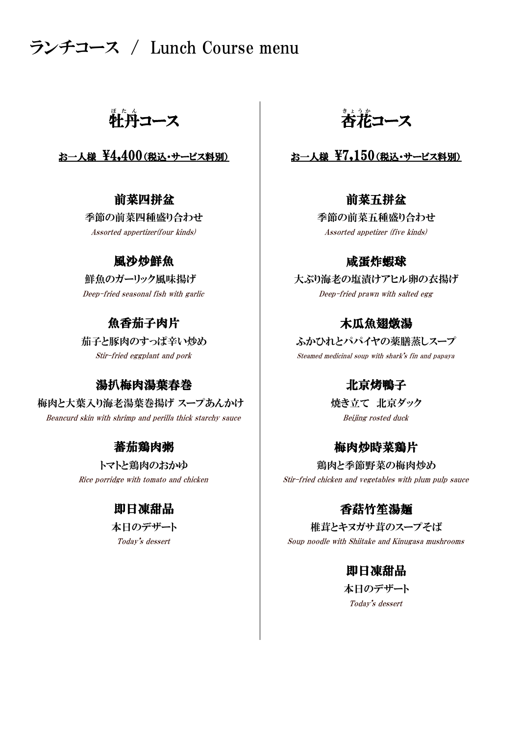# ランチコース / Lunch Course menu

# 牲丹コース │ 杏花

Assorted appertizer(four kinds) Assorted appetizer (five kinds)

### 風沙炒鮮魚

# 魚香茄子肉片

### 湯扒梅肉湯葉春巻 - - - - - - - - 北京烤鴨子

梅肉と大葉入り海老湯葉巻揚げ スープあんかけ ―――――――――焼き立て 北京ダック Beancurd skin with shrimp and perilla thick starchy sauce and the Beijing rosted duck

### 蕃茄鶏肉粥

# 即日凍甜品

<u>。</u><br>杏花コース

## お一人様  $\frac{1}{2}$ 4,400(税込・サービス料別)  $\qquad$  お一人様  $\frac{1}{2}$ 7,150(税込・サービス料別)

### 前菜四拼盆 前菜五拼盆

季節の前菜四種盛り合わせ 季節の前菜五種盛り合わせ

### 咸蛋炸蝦球

|鮮魚のガーリック風味揚げ | 大ぶり海老の塩漬けアヒル卵の衣揚げ Deep-fried seasonal fish with garlic Deep-fried prawn with salted egg

### 木瓜魚翅燉湯

Stir-fried eggplant and pork Steamed medicinal soup with shark's fin and papaya 茄子と豚肉のすっぱ辛い炒め ――――― ふかひれとパパイヤの薬膳蒸しスープ

### 梅肉炒時菜鶏片

トマトと鶏肉のおかゆ | 鶏肉と季節野菜の梅肉炒め Rice porridge with tomato and chicken  $\qquad \qquad \qquad \text{Stir-fried chicken and vegetables with plum pulp sauce}$ 

### 香菇竹笙湯麺

本日のデザート ファインスコーク おおく 椎茸とキヌガサ茸のスープそば Today's dessert The Soup noodle with Shiitake and Kinugasa mushrooms

### 即日凍甜品

Today's dessert 本日のデザート